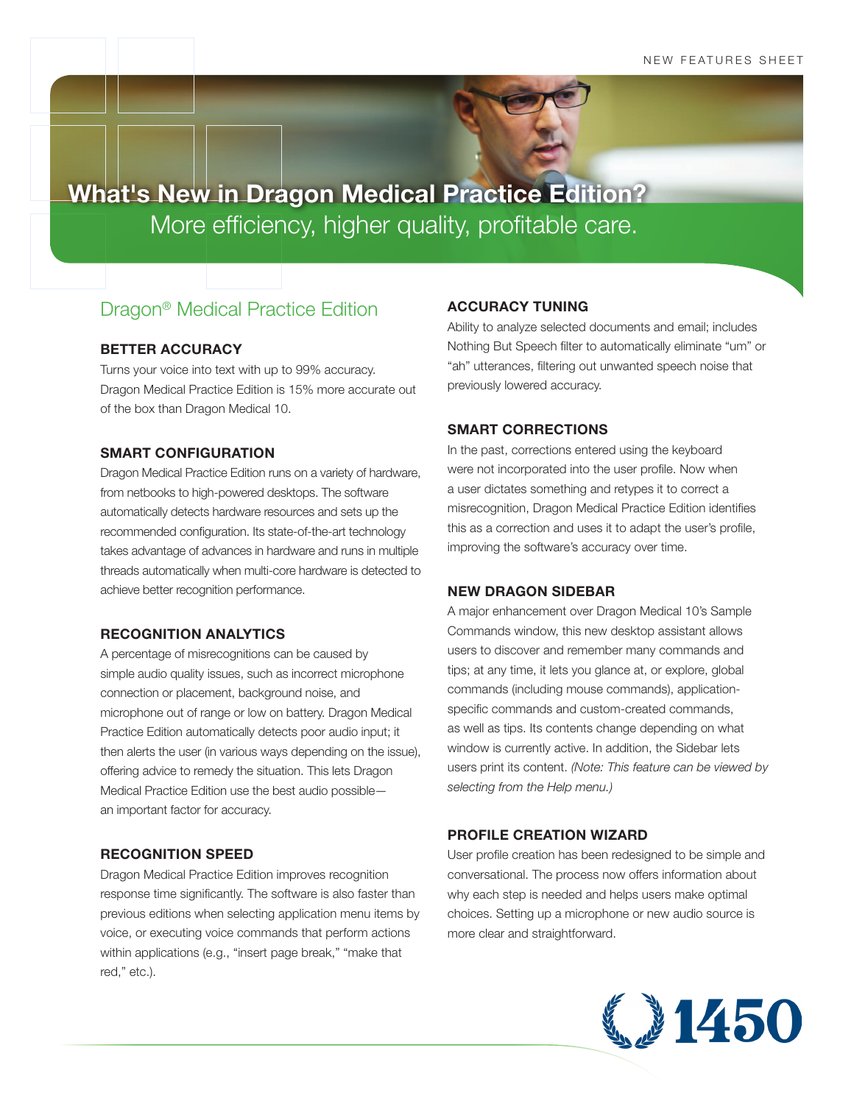**What's New in Dragon Medical Practice Edition?** More efficiency, higher quality, profitable care.

# Dragon® Medical Practice Edition

# **BETTER ACCURACY**

Turns your voice into text with up to 99% accuracy. Dragon Medical Practice Edition is 15% more accurate out of the box than Dragon Medical 10.

## **SMART CONFIGURATION**

Dragon Medical Practice Edition runs on a variety of hardware, from netbooks to high-powered desktops. The software automatically detects hardware resources and sets up the recommended configuration. Its state-of-the-art technology takes advantage of advances in hardware and runs in multiple threads automatically when multi-core hardware is detected to achieve better recognition performance.

## **RECOGNITION ANALYTICS**

A percentage of misrecognitions can be caused by simple audio quality issues, such as incorrect microphone connection or placement, background noise, and microphone out of range or low on battery. Dragon Medical Practice Edition automatically detects poor audio input; it then alerts the user (in various ways depending on the issue), offering advice to remedy the situation. This lets Dragon Medical Practice Edition use the best audio possible an important factor for accuracy.

# **RECOGNITION SPEED**

Dragon Medical Practice Edition improves recognition response time significantly. The software is also faster than previous editions when selecting application menu items by voice, or executing voice commands that perform actions within applications (e.g., "insert page break," "make that red," etc.).

# **ACCURACY TUNING**

Ability to analyze selected documents and email; includes Nothing But Speech filter to automatically eliminate "um" or "ah" utterances, filtering out unwanted speech noise that previously lowered accuracy.

# **SMART CORRECTIONS**

In the past, corrections entered using the keyboard were not incorporated into the user profile. Now when a user dictates something and retypes it to correct a misrecognition, Dragon Medical Practice Edition identifies this as a correction and uses it to adapt the user's profile, improving the software's accuracy over time.

# **NEW DRAGON SIDEBAR**

A major enhancement over Dragon Medical 10's Sample Commands window, this new desktop assistant allows users to discover and remember many commands and tips; at any time, it lets you glance at, or explore, global commands (including mouse commands), applicationspecific commands and custom-created commands, as well as tips. Its contents change depending on what window is currently active. In addition, the Sidebar lets users print its content. *(Note: This feature can be viewed by selecting from the Help menu.)*

# **PROFILE CREATION WIZARD**

User profile creation has been redesigned to be simple and conversational. The process now offers information about why each step is needed and helps users make optimal choices. Setting up a microphone or new audio source is more clear and straightforward.